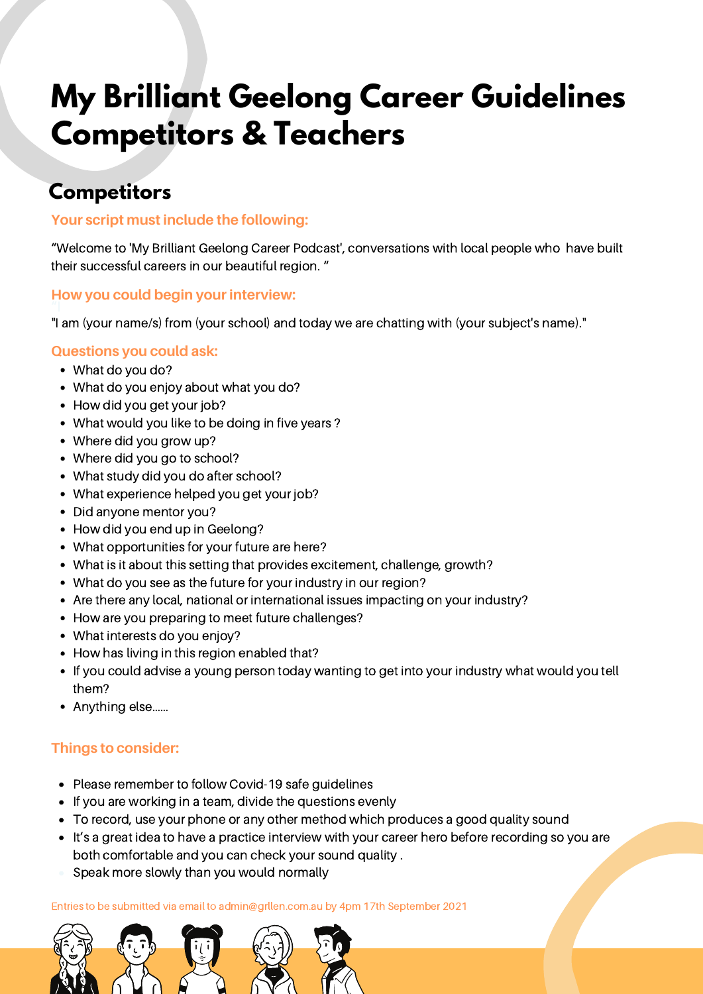# **My Brilliant Geelong Career Guidelines Competitors & Teachers**

### **Competitors**

#### **Your script must include the following:**

"Welcome to 'My Brilliant Geelong Career Podcast', conversations with local people who have built their successful careers in our beautiful region. "

## **How you could begin your interview:<br>"I am (your school) and to day we are chatting with (your subsect) with (your subsect)**

"I am (your name/s) from (your school) and today we are chatting with (your subject's name)."

#### **Questions you could ask:**

- What do you do?
- What do you enjoy about what you do?
- How did you get your job?
- What would you like to be doing in five years ?
- Where did you grow up?
- Where did you go to school?
- What study did you do after school?
- What experience helped you get your job?
- Did anyone mentor you?
- How did you end up in Geelong?
- What opportunities for your future are here?
- What is it about this setting that provides excitement, challenge, growth?
- What do you see as the future for your industry in our region?
- Are there any local, national or international issues impacting on your industry?
- How are you preparing to meet future challenges?
- What interests do you enjoy?
- How has living in this region enabled that?
- If you could advise a young person today wanting to get into your industry what would you tell them?
- Anything else……

#### **Things to consider:**

- Please remember to follow Covid-19 safe guidelines
- If you are working in a team, divide the questions evenly
- To record, use your phone or any other method which produces a good quality sound
- It's a great idea to have a practice interview with your career hero before recording so you are both comfortable and you can check your sound quality .
- Speak more slowly than you would normally

Entries to be submitted via email to admin@grllen.com.au by 4pm 17th September 2021